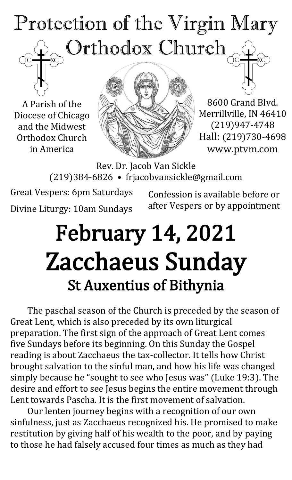## Protection of the Virgin Mary Orthodox Church

A Parish of the Diocese of Chicago and the Midwest Orthodox Church in America



8600 Grand Blvd. Merrillville, IN 46410 (219)947-4748 Hall: (219)730-4698 www.ptvm.com

Rev. Dr. Jacob Van Sickle (219)384-6826 • frjacobvansickle@gmail.com

Great Vespers: 6pm Saturdays Divine Liturgy: 10am Sundays

Confession is available before or after Vespers or by appointment

## February 14, 2021 Zacchaeus Sunday St Auxentius of Bithynia

The paschal season of the Church is preceded by the season of Great Lent, which is also preceded by its own liturgical preparation. The first sign of the approach of Great Lent comes five Sundays before its beginning. On this Sunday the Gospel reading is about Zacchaeus the tax-collector. It tells how Christ brought salvation to the sinful man, and how his life was changed simply because he "sought to see who Jesus was" (Luke 19:3). The desire and effort to see Jesus begins the entire movement through Lent towards Pascha. It is the first movement of salvation.

Our lenten journey begins with a recognition of our own sinfulness, just as Zacchaeus recognized his. He promised to make restitution by giving half of his wealth to the poor, and by paying to those he had falsely accused four times as much as they had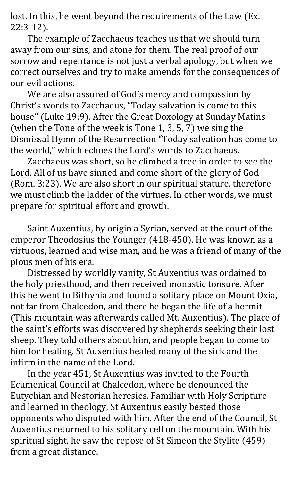lost. In this, he went beyond the requirements of the Law (Ex. 22:3-12).

The example of Zacchaeus teaches us that we should turn away from our sins, and atone for them. The real proof of our sorrow and repentance is not just a verbal apology, but when we correct ourselves and try to make amends for the consequences of our evil actions.

We are also assured of God's mercy and compassion by Christ's words to Zacchaeus, "Today salvation is come to this house" (Luke 19:9). After the Great Doxology at Sunday Matins (when the Tone of the week is Tone 1, 3, 5, 7) we sing the Dismissal Hymn of the Resurrection "Today salvation has come to the world," which echoes the Lord's words to Zacchaeus.

Zacchaeus was short, so he climbed a tree in order to see the Lord. All of us have sinned and come short of the glory of God (Rom. 3:23). We are also short in our spiritual stature, therefore we must climb the ladder of the virtues. In other words, we must prepare for spiritual effort and growth.

Saint Auxentius, by origin a Syrian, served at the court of the emperor Theodosius the Younger (418-450). He was known as a virtuous, learned and wise man, and he was a friend of many of the pious men of his era.

Distressed by worldly vanity, St Auxentius was ordained to the holy priesthood, and then received monastic tonsure. After this he went to Bithynia and found a solitary place on Mount Oxia, not far from Chalcedon, and there he began the life of a hermit (This mountain was afterwards called Mt. Auxentius). The place of the saint's efforts was discovered by shepherds seeking their lost sheep. They told others about him, and people began to come to him for healing. St Auxentius healed many of the sick and the infirm in the name of the Lord.

In the year 451, St Auxentius was invited to the Fourth Ecumenical Council at Chalcedon, where he denounced the Eutychian and Nestorian heresies. Familiar with Holy Scripture and learned in theology, St Auxentius easily bested those opponents who disputed with him. After the end of the Council, St Auxentius returned to his solitary cell on the mountain. With his spiritual sight, he saw the repose of St Simeon the Stylite (459) from a great distance.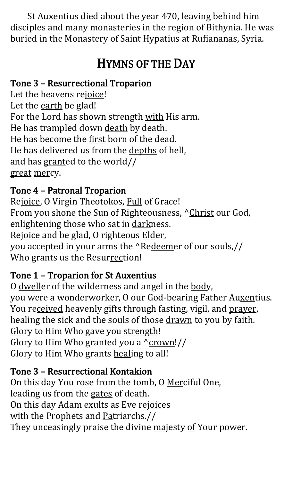St Auxentius died about the year 470, leaving behind him disciples and many monasteries in the region of Bithynia. He was buried in the Monastery of Saint Hypatius at Rufiananas, Syria.

### HYMNS OF THE DAY

#### Tone 3 – Resurrectional Troparion

Let the heavens rejoice! Let the earth be glad! For the Lord has shown strength with His arm. He has trampled down death by death. He has become the first born of the dead. He has delivered us from the depths of hell, and has granted to the world// great mercy.

#### Tone 4 – Patronal Troparion

Rejoice, O Virgin Theotokos, Full of Grace! From you shone the Sun of Righteousness, ^Christ our God, enlightening those who sat in darkness. Rejoice and be glad, O righteous Elder, you accepted in your arms the ^Redeemer of our souls,// Who grants us the Resurrection!

#### Tone 1 – Troparion for St Auxentius

O dweller of the wilderness and angel in the body, you were a wonderworker, O our God-bearing Father Auxentius. You received heavenly gifts through fasting, vigil, and prayer, healing the sick and the souls of those drawn to you by faith. Glory to Him Who gave you strength! Glory to Him Who granted you a ^crown!// Glory to Him Who grants healing to all!

#### Tone 3 – Resurrectional Kontakion

On this day You rose from the tomb, O Merciful One, leading us from the gates of death. On this day Adam exults as Eve rejoices with the Prophets and Patriarchs.// They unceasingly praise the divine majesty of Your power.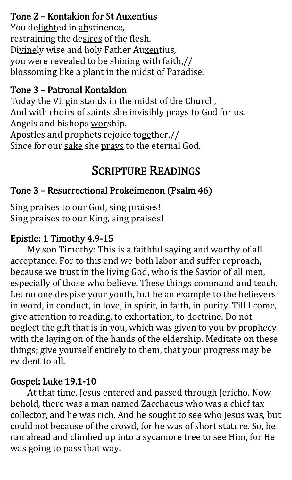#### Tone 2 – Kontakion for St Auxentius

You delighted in abstinence, restraining the desires of the flesh. Divinely wise and holy Father Auxentius, you were revealed to be shining with faith,// blossoming like a plant in the midst of Paradise.

#### Tone 3 – Patronal Kontakion

Today the Virgin stands in the midst of the Church, And with choirs of saints she invisibly prays to God for us. Angels and bishops worship. Apostles and prophets rejoice together,// Since for our sake she prays to the eternal God.

#### SCRIPTURE READINGS

#### Tone 3 – Resurrectional Prokeimenon (Psalm 46)

Sing praises to our God, sing praises! Sing praises to our King, sing praises!

#### Epistle: 1 Timothy 4.9-15

My son Timothy: This is a faithful saying and worthy of all acceptance. For to this end we both labor and suffer reproach, because we trust in the living God, who is the Savior of all men, especially of those who believe. These things command and teach. Let no one despise your youth, but be an example to the believers in word, in conduct, in love, in spirit, in faith, in purity. Till I come, give attention to reading, to exhortation, to doctrine. Do not neglect the gift that is in you, which was given to you by prophecy with the laying on of the hands of the eldership. Meditate on these things; give yourself entirely to them, that your progress may be evident to all.

#### Gospel: Luke 19.1-10

At that time, Jesus entered and passed through Jericho. Now behold, there was a man named Zacchaeus who was a chief tax collector, and he was rich. And he sought to see who Jesus was, but could not because of the crowd, for he was of short stature. So, he ran ahead and climbed up into a sycamore tree to see Him, for He was going to pass that way.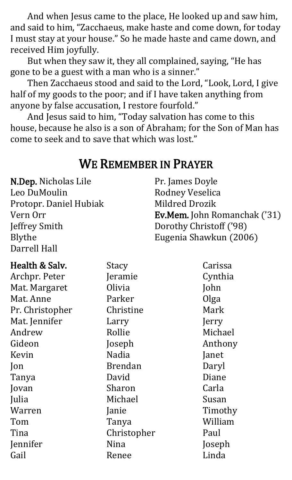And when Jesus came to the place, He looked up and saw him, and said to him, "Zacchaeus, make haste and come down, for today I must stay at your house." So he made haste and came down, and received Him joyfully.

But when they saw it, they all complained, saying, "He has gone to be a guest with a man who is a sinner."

Then Zacchaeus stood and said to the Lord, "Look, Lord, I give half of my goods to the poor; and if I have taken anything from anyone by false accusation, I restore fourfold."

And Jesus said to him, "Today salvation has come to this house, because he also is a son of Abraham; for the Son of Man has come to seek and to save that which was lost."

#### WE REMEMBER IN PRAYER

N.Dep. Nicholas Lile Leo DuMoulin Protopr. Daniel Hubiak Vern Orr Jeffrey Smith Blythe Darrell Hall

Pr. James Doyle Rodney Veselica Mildred Drozik Ev.Mem. John Romanchak ('31) Dorothy Christoff ('98) Eugenia Shawkun (2006)

#### Health & Salv. Archpr. Peter Mat. Margaret Mat. Anne Pr. Christopher Mat. Jennifer Andrew Gideon Kevin Jon Tanya Jovan Julia Warren Tom Tina Jennifer Gail Stacy Jeramie Olivia Parker Christine Larry Rollie Joseph Nadia Brendan David Sharon Michael Janie Tanya Christopher Nina Renee Carissa Cynthia John Olga Mark Jerry Michael Anthony Janet Daryl Diane Carla Susan Timothy William Paul Joseph Linda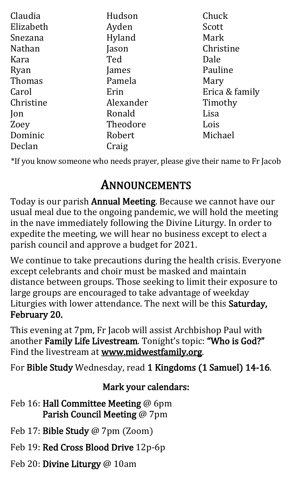| Claudia       | Hudson    | Chuck          |
|---------------|-----------|----------------|
| Elizabeth     | Ayden     | Scott          |
| Snezana       | Hyland    | Mark           |
| <b>Nathan</b> | Jason     | Christine      |
| Kara          | Ted       | Dale           |
| Ryan          | James     | Pauline        |
| Thomas        | Pamela    | Mary           |
| Carol         | Erin      | Erica & family |
| Christine     | Alexander | Timothy        |
| Jon           | Ronald    | Lisa           |
| Zoey          | Theodore  | Lois           |
| Dominic       | Robert    | Michael        |
| Declan        | Craig     |                |

\*If you know someone who needs prayer, please give their name to Fr Jacob

### ANNOUNCEMENTS

Today is our parish Annual Meeting. Because we cannot have our usual meal due to the ongoing pandemic, we will hold the meeting in the nave immediately following the Divine Liturgy. In order to expedite the meeting, we will hear no business except to elect a parish council and approve a budget for 2021.

We continue to take precautions during the health crisis. Everyone except celebrants and choir must be masked and maintain distance between groups. Those seeking to limit their exposure to large groups are encouraged to take advantage of weekday Liturgies with lower attendance. The next will be this Saturday, February 20.

This evening at 7pm, Fr Jacob will assist Archbishop Paul with another Family Life Livestream. Tonight's topic: "Who is God?" Find the livestream at www.midwestfamily.org.

For Bible Study Wednesday, read 1 Kingdoms (1 Samuel) 14-16.

#### Mark your calendars:

- Feb 16: Hall Committee Meeting @ 6pm Parish Council Meeting @ 7pm
- Feb 17: Bible Study @ 7pm (Zoom)
- Feb 19: Red Cross Blood Drive 12p-6p
- Feb 20: Divine Liturgy @ 10am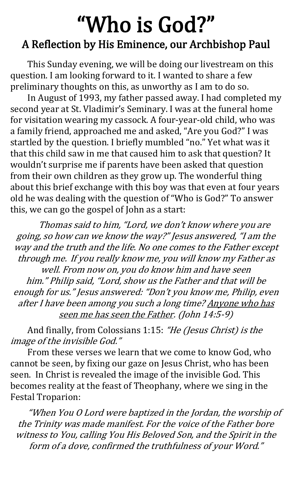## "Who is God?" A Reflection by His Eminence, our Archbishop Paul

This Sunday evening, we will be doing our livestream on this question. I am looking forward to it. I wanted to share a few preliminary thoughts on this, as unworthy as I am to do so.

In August of 1993, my father passed away. I had completed my second year at St. Vladimir's Seminary. I was at the funeral home for visitation wearing my cassock. A four-year-old child, who was a family friend, approached me and asked, "Are you God?" I was startled by the question. I briefly mumbled "no." Yet what was it that this child saw in me that caused him to ask that question? It wouldn't surprise me if parents have been asked that question from their own children as they grow up. The wonderful thing about this brief exchange with this boy was that even at four years old he was dealing with the question of "Who is God?" To answer this, we can go the gospel of John as a start:

Thomas said to him, "Lord, we don't know where you are going, so how can we know the way?" Jesus answered, "I am the way and the truth and the life. No one comes to the Father except through me. If you really know me, you will know my Father as well. From now on, you do know him and have seen him." Philip said, "Lord, show us the Father and that will be enough for us." Jesus answered: "Don't you know me, Philip, even after I have been among you such a long time? Anyone who has seen me has seen the Father. (John 14:5-9)

And finally, from Colossians 1:15: "He (Jesus Christ) is the image of the invisible God."

From these verses we learn that we come to know God, who cannot be seen, by fixing our gaze on Jesus Christ, who has been seen. In Christ is revealed the image of the invisible God. This becomes reality at the feast of Theophany, where we sing in the Festal Troparion:

"When You O Lord were baptized in the Jordan, the worship of the Trinity was made manifest. For the voice of the Father bore witness to You, calling You His Beloved Son, and the Spirit in the form of a dove, confirmed the truthfulness of your Word."